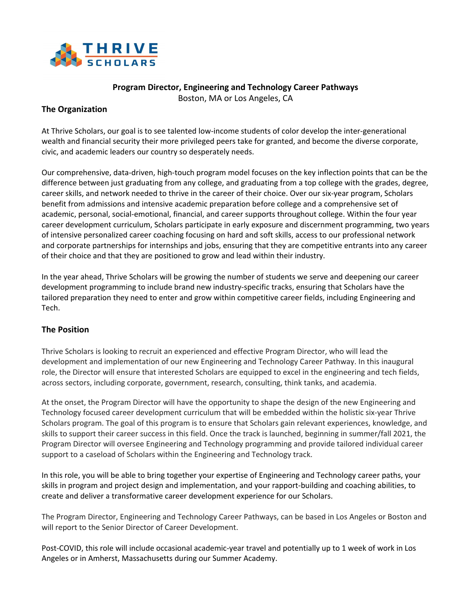

## **Program Director, Engineering and Technology Career Pathways**

Boston, MA or Los Angeles, CA

## **The Organization**

At Thrive Scholars, our goal is to see talented low-income students of color develop the inter-generational wealth and financial security their more privileged peers take for granted, and become the diverse corporate, civic, and academic leaders our country so desperately needs.

Our comprehensive, data-driven, high-touch program model focuses on the key inflection points that can be the difference between just graduating from any college, and graduating from a top college with the grades, degree, career skills, and network needed to thrive in the career of their choice. Over our six-year program, Scholars benefit from admissions and intensive academic preparation before college and a comprehensive set of academic, personal, social-emotional, financial, and career supports throughout college. Within the four year career development curriculum, Scholars participate in early exposure and discernment programming, two years of intensive personalized career coaching focusing on hard and soft skills, access to our professional network and corporate partnerships for internships and jobs, ensuring that they are competitive entrants into any career of their choice and that they are positioned to grow and lead within their industry.

In the year ahead, Thrive Scholars will be growing the number of students we serve and deepening our career development programming to include brand new industry-specific tracks, ensuring that Scholars have the tailored preparation they need to enter and grow within competitive career fields, including Engineering and Tech.

## **The Position**

Thrive Scholars is looking to recruit an experienced and effective Program Director, who will lead the development and implementation of our new Engineering and Technology Career Pathway. In this inaugural role, the Director will ensure that interested Scholars are equipped to excel in the engineering and tech fields, across sectors, including corporate, government, research, consulting, think tanks, and academia.

At the onset, the Program Director will have the opportunity to shape the design of the new Engineering and Technology focused career development curriculum that will be embedded within the holistic six-year Thrive Scholars program. The goal of this program is to ensure that Scholars gain relevant experiences, knowledge, and skills to support their career success in this field. Once the track is launched, beginning in summer/fall 2021, the Program Director will oversee Engineering and Technology programming and provide tailored individual career support to a caseload of Scholars within the Engineering and Technology track.

In this role, you will be able to bring together your expertise of Engineering and Technology career paths, your skills in program and project design and implementation, and your rapport-building and coaching abilities, to create and deliver a transformative career development experience for our Scholars.

The Program Director, Engineering and Technology Career Pathways, can be based in Los Angeles or Boston and will report to the Senior Director of Career Development.

Post-COVID, this role will include occasional academic-year travel and potentially up to 1 week of work in Los Angeles or in Amherst, Massachusetts during our Summer Academy.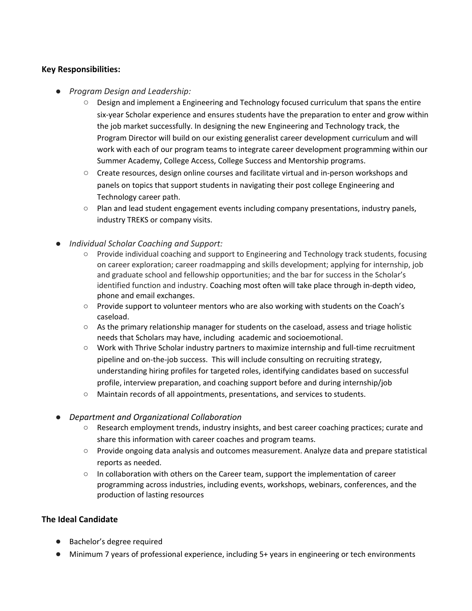# **Key Responsibilities:**

- *Program Design and Leadership:*
	- *○* Design and implement a Engineering and Technology focused curriculum that spans the entire six-year Scholar experience and ensures students have the preparation to enter and grow within the job market successfully. In designing the new Engineering and Technology track, the Program Director will build on our existing generalist career development curriculum and will work with each of our program teams to integrate career development programming within our Summer Academy, College Access, College Success and Mentorship programs.
	- *○* Create resources, design online courses and facilitate virtual and in-person workshops and panels on topics that support students in navigating their post college Engineering and Technology career path.
	- Plan and lead student engagement events including company presentations, industry panels, industry TREKS or company visits.
- *Individual Scholar Coaching and Support:* 
	- Provide individual coaching and support to Engineering and Technology track students, focusing on career exploration; career roadmapping and skills development; applying for internship, job and graduate school and fellowship opportunities; and the bar for success in the Scholar's identified function and industry. Coaching most often will take place through in-depth video, phone and email exchanges.
	- Provide support to volunteer mentors who are also working with students on the Coach's caseload.
	- As the primary relationship manager for students on the caseload, assess and triage holistic needs that Scholars may have, including academic and socioemotional.
	- Work with Thrive Scholar industry partners to maximize internship and full-time recruitment pipeline and on-the-job success. This will include consulting on recruiting strategy, understanding hiring profiles for targeted roles, identifying candidates based on successful profile, interview preparation, and coaching support before and during internship/job
	- Maintain records of all appointments, presentations, and services to students.
- *Department and Organizational Collaboration*
	- Research employment trends, industry insights, and best career coaching practices; curate and share this information with career coaches and program teams.
	- Provide ongoing data analysis and outcomes measurement. Analyze data and prepare statistical reports as needed.
	- $\circ$  In collaboration with others on the Career team, support the implementation of career programming across industries, including events, workshops, webinars, conferences, and the production of lasting resources

## **The Ideal Candidate**

- Bachelor's degree required
- Minimum 7 years of professional experience, including 5+ years in engineering or tech environments